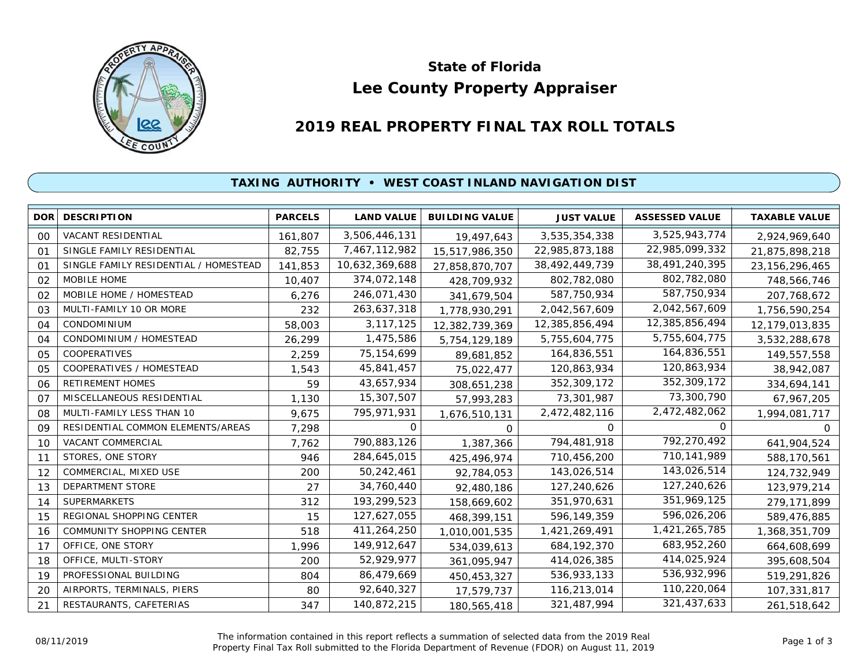

# **Lee County Property Appraiser State of Florida**

# **2019 REAL PROPERTY FINAL TAX ROLL TOTALS**

## **TAXING AUTHORITY • WEST COAST INLAND NAVIGATION DIST**

| <b>DOR</b>     | <b>DESCRIPTION</b>                    | <b>PARCELS</b> | <b>LAND VALUE</b> | <b>BUILDING VALUE</b> | <b>JUST VALUE</b> | <b>ASSESSED VALUE</b> | <b>TAXABLE VALUE</b> |
|----------------|---------------------------------------|----------------|-------------------|-----------------------|-------------------|-----------------------|----------------------|
| 00             | VACANT RESIDENTIAL                    | 161,807        | 3,506,446,131     | 19,497,643            | 3,535,354,338     | 3,525,943,774         | 2,924,969,640        |
| O <sub>1</sub> | SINGLE FAMILY RESIDENTIAL             | 82,755         | 7,467,112,982     | 15,517,986,350        | 22,985,873,188    | 22,985,099,332        | 21,875,898,218       |
| 01             | SINGLE FAMILY RESIDENTIAL / HOMESTEAD | 141,853        | 10,632,369,688    | 27,858,870,707        | 38,492,449,739    | 38,491,240,395        | 23, 156, 296, 465    |
| 02             | MOBILE HOME                           | 10,407         | 374,072,148       | 428,709,932           | 802,782,080       | 802,782,080           | 748,566,746          |
| 02             | MOBILE HOME / HOMESTEAD               | 6,276          | 246,071,430       | 341,679,504           | 587,750,934       | 587,750,934           | 207,768,672          |
| 03             | MULTI-FAMILY 10 OR MORE               | 232            | 263,637,318       | 1,778,930,291         | 2,042,567,609     | 2,042,567,609         | 1,756,590,254        |
| 04             | <b>CONDOMINIUM</b>                    | 58,003         | 3, 117, 125       | 12,382,739,369        | 12,385,856,494    | 12,385,856,494        | 12,179,013,835       |
| 04             | CONDOMINIUM / HOMESTEAD               | 26,299         | 1,475,586         | 5,754,129,189         | 5,755,604,775     | 5,755,604,775         | 3,532,288,678        |
| 05             | COOPERATIVES                          | 2,259          | 75, 154, 699      | 89,681,852            | 164,836,551       | 164,836,551           | 149,557,558          |
| 05             | COOPERATIVES / HOMESTEAD              | 1,543          | 45,841,457        | 75,022,477            | 120,863,934       | 120,863,934           | 38,942,087           |
| 06             | <b>RETIREMENT HOMES</b>               | 59             | 43,657,934        | 308,651,238           | 352,309,172       | 352,309,172           | 334,694,141          |
| 07             | MISCELLANEOUS RESIDENTIAL             | 1,130          | 15,307,507        | 57,993,283            | 73,301,987        | 73,300,790            | 67,967,205           |
| 08             | MULTI-FAMILY LESS THAN 10             | 9,675          | 795,971,931       | 1,676,510,131         | 2,472,482,116     | 2,472,482,062         | 1,994,081,717        |
| 09             | RESIDENTIAL COMMON ELEMENTS/AREAS     | 7,298          | $\Omega$          | 0                     | 0                 | $\Omega$              | <sup>o</sup>         |
| 10             | VACANT COMMERCIAL                     | 7,762          | 790,883,126       | 1,387,366             | 794,481,918       | 792,270,492           | 641,904,524          |
| 11             | STORES, ONE STORY                     | 946            | 284,645,015       | 425,496,974           | 710,456,200       | 710,141,989           | 588,170,561          |
| 12             | COMMERCIAL, MIXED USE                 | 200            | 50,242,461        | 92,784,053            | 143,026,514       | 143,026,514           | 124,732,949          |
| 13             | <b>DEPARTMENT STORE</b>               | 27             | 34,760,440        | 92,480,186            | 127,240,626       | 127,240,626           | 123,979,214          |
| 14             | <b>SUPERMARKETS</b>                   | 312            | 193,299,523       | 158,669,602           | 351,970,631       | 351,969,125           | 279,171,899          |
| 15             | REGIONAL SHOPPING CENTER              | 15             | 127,627,055       | 468,399,151           | 596,149,359       | 596,026,206           | 589,476,885          |
| 16             | COMMUNITY SHOPPING CENTER             | 518            | 411,264,250       | 1,010,001,535         | 1,421,269,491     | 1,421,265,785         | 1,368,351,709        |
| 17             | OFFICE, ONE STORY                     | 1,996          | 149,912,647       | 534,039,613           | 684, 192, 370     | 683,952,260           | 664,608,699          |
| 18             | OFFICE, MULTI-STORY                   | 200            | 52,929,977        | 361,095,947           | 414,026,385       | 414,025,924           | 395,608,504          |
| 19             | PROFESSIONAL BUILDING                 | 804            | 86,479,669        | 450,453,327           | 536,933,133       | 536,932,996           | 519,291,826          |
| 20             | AIRPORTS, TERMINALS, PIERS            | 80             | 92,640,327        | 17,579,737            | 116,213,014       | 110,220,064           | 107,331,817          |
| 21             | RESTAURANTS, CAFETERIAS               | 347            | 140,872,215       | 180,565,418           | 321,487,994       | 321,437,633           | 261,518,642          |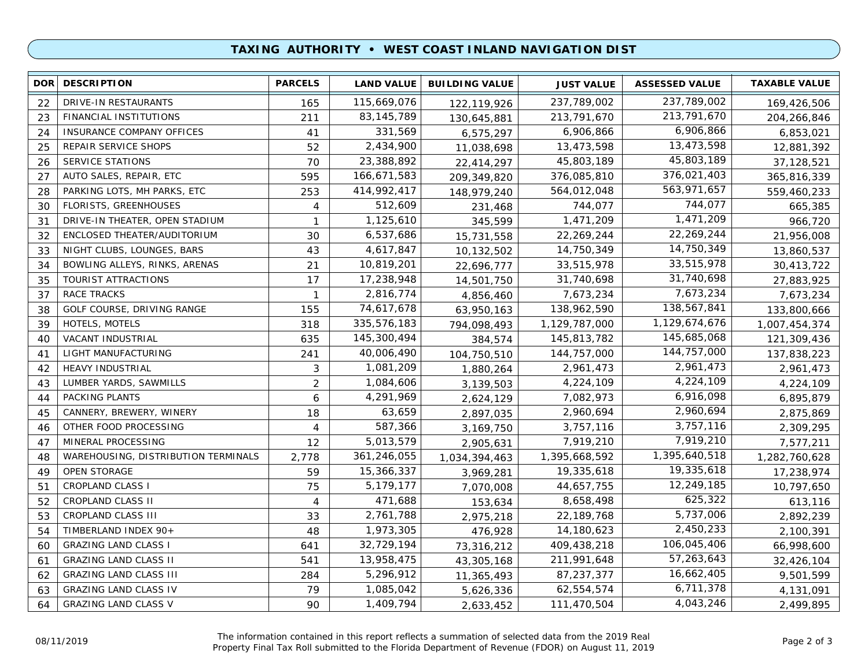### **TAXING AUTHORITY • WEST COAST INLAND NAVIGATION DIST**

| <b>DOR</b> | <b>DESCRIPTION</b>                  | <b>PARCELS</b> | <b>LAND VALUE</b> | <b>BUILDING VALUE</b> | <b>JUST VALUE</b> | <b>ASSESSED VALUE</b> | <b>TAXABLE VALUE</b> |
|------------|-------------------------------------|----------------|-------------------|-----------------------|-------------------|-----------------------|----------------------|
| 22         | DRIVE-IN RESTAURANTS                | 165            | 115,669,076       | 122,119,926           | 237,789,002       | 237,789,002           | 169,426,506          |
| 23         | FINANCIAL INSTITUTIONS              | 211            | 83, 145, 789      | 130,645,881           | 213,791,670       | 213,791,670           | 204,266,846          |
| 24         | INSURANCE COMPANY OFFICES           | 41             | 331,569           | 6,575,297             | 6,906,866         | 6,906,866             | 6,853,021            |
| 25         | REPAIR SERVICE SHOPS                | 52             | 2,434,900         | 11,038,698            | 13,473,598        | 13,473,598            | 12,881,392           |
| 26         | <b>SERVICE STATIONS</b>             | 70             | 23,388,892        | 22,414,297            | 45,803,189        | 45,803,189            | 37,128,521           |
| 27         | AUTO SALES, REPAIR, ETC             | 595            | 166,671,583       | 209,349,820           | 376,085,810       | 376,021,403           | 365,816,339          |
| 28         | PARKING LOTS, MH PARKS, ETC         | 253            | 414,992,417       | 148,979,240           | 564,012,048       | 563,971,657           | 559,460,233          |
| 30         | FLORISTS, GREENHOUSES               | 4              | 512,609           | 231,468               | 744,077           | 744,077               | 665,385              |
| 31         | DRIVE-IN THEATER, OPEN STADIUM      | $\mathbf{1}$   | 1,125,610         | 345,599               | 1,471,209         | 1,471,209             | 966,720              |
| 32         | ENCLOSED THEATER/AUDITORIUM         | 30             | 6,537,686         | 15,731,558            | 22,269,244        | 22,269,244            | 21,956,008           |
| 33         | NIGHT CLUBS, LOUNGES, BARS          | 43             | 4,617,847         | 10,132,502            | 14,750,349        | 14,750,349            | 13,860,537           |
| 34         | BOWLING ALLEYS, RINKS, ARENAS       | 21             | 10,819,201        | 22,696,777            | 33,515,978        | 33,515,978            | 30,413,722           |
| 35         | TOURIST ATTRACTIONS                 | 17             | 17,238,948        | 14,501,750            | 31,740,698        | 31,740,698            | 27,883,925           |
| 37         | <b>RACE TRACKS</b>                  | $\mathbf{1}$   | 2,816,774         | 4,856,460             | 7,673,234         | 7,673,234             | 7,673,234            |
| 38         | GOLF COURSE, DRIVING RANGE          | 155            | 74,617,678        | 63,950,163            | 138,962,590       | 138,567,841           | 133,800,666          |
| 39         | HOTELS, MOTELS                      | 318            | 335,576,183       | 794,098,493           | 1,129,787,000     | 1,129,674,676         | 1,007,454,374        |
| 40         | VACANT INDUSTRIAL                   | 635            | 145,300,494       | 384,574               | 145,813,782       | 145,685,068           | 121,309,436          |
| 41         | LIGHT MANUFACTURING                 | 241            | 40,006,490        | 104,750,510           | 144,757,000       | 144,757,000           | 137,838,223          |
| 42         | <b>HEAVY INDUSTRIAL</b>             | 3              | 1,081,209         | 1,880,264             | 2,961,473         | 2,961,473             | 2,961,473            |
| 43         | LUMBER YARDS, SAWMILLS              | $\overline{2}$ | 1,084,606         | 3,139,503             | 4,224,109         | 4,224,109             | 4,224,109            |
| 44         | PACKING PLANTS                      | 6              | 4,291,969         | 2,624,129             | 7,082,973         | 6,916,098             | 6,895,879            |
| 45         | CANNERY, BREWERY, WINERY            | 18             | 63,659            | 2,897,035             | 2,960,694         | 2,960,694             | 2,875,869            |
| 46         | OTHER FOOD PROCESSING               | 4              | 587,366           | 3,169,750             | 3,757,116         | 3,757,116             | 2,309,295            |
| 47         | MINERAL PROCESSING                  | 12             | 5,013,579         | 2,905,631             | 7,919,210         | 7,919,210             | 7,577,211            |
| 48         | WAREHOUSING, DISTRIBUTION TERMINALS | 2,778          | 361,246,055       | 1,034,394,463         | 1,395,668,592     | 1,395,640,518         | 1,282,760,628        |
| 49         | OPEN STORAGE                        | 59             | 15,366,337        | 3,969,281             | 19,335,618        | 19,335,618            | 17,238,974           |
| 51         | <b>CROPLAND CLASS I</b>             | 75             | 5,179,177         | 7,070,008             | 44,657,755        | 12,249,185            | 10,797,650           |
| 52         | CROPLAND CLASS II                   | $\overline{4}$ | 471,688           | 153,634               | 8,658,498         | 625,322               | 613,116              |
| 53         | CROPLAND CLASS III                  | 33             | 2,761,788         | 2,975,218             | 22,189,768        | 5,737,006             | 2,892,239            |
| 54         | TIMBERLAND INDEX 90+                | 48             | 1,973,305         | 476,928               | 14,180,623        | 2,450,233             | 2,100,391            |
| 60         | <b>GRAZING LAND CLASS I</b>         | 641            | 32,729,194        | 73,316,212            | 409,438,218       | 106,045,406           | 66,998,600           |
| 61         | <b>GRAZING LAND CLASS II</b>        | 541            | 13,958,475        | 43,305,168            | 211,991,648       | 57,263,643            | 32,426,104           |
| 62         | <b>GRAZING LAND CLASS III</b>       | 284            | 5,296,912         | 11,365,493            | 87,237,377        | 16,662,405            | 9,501,599            |
| 63         | <b>GRAZING LAND CLASS IV</b>        | 79             | 1,085,042         | 5,626,336             | 62,554,574        | 6,711,378             | 4,131,091            |
| 64         | <b>GRAZING LAND CLASS V</b>         | 90             | 1,409,794         | 2,633,452             | 111,470,504       | 4,043,246             | 2,499,895            |